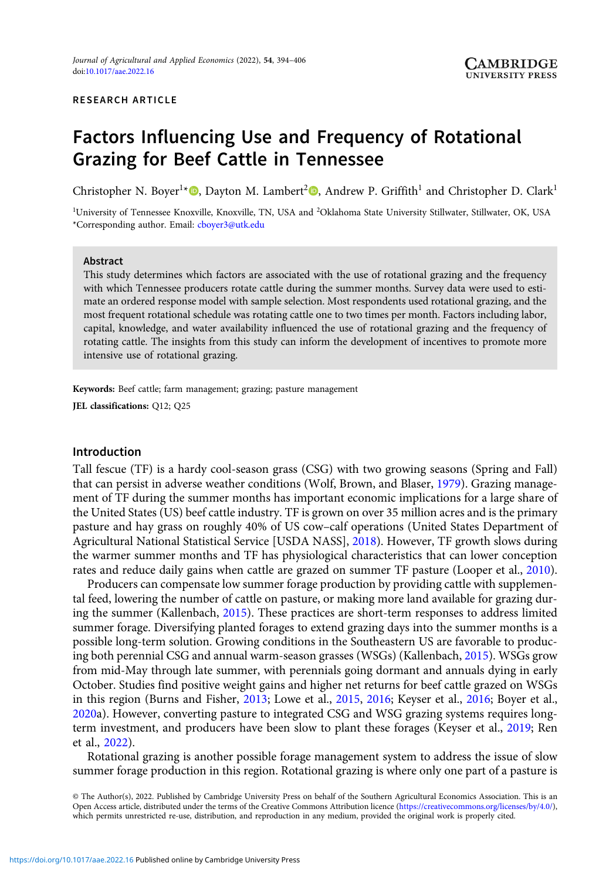#### RESEARCH ARTICLE

# Factors Influencing Use and Frequency of Rotational Grazing for Beef Cattle in Tennessee

Christopher N. Boyer<sup>1\*</sup><sup>®</sup>, Dayton M. Lambert<sup>2</sup><sup>®</sup>, Andrew P. Griffith<sup>1</sup> and Christopher D. Clark<sup>1</sup>

<sup>1</sup>University of Tennessee Knoxville, Knoxville, TN, USA and <sup>2</sup>Oklahoma State University Stillwater, Stillwater, OK, USA \*Corresponding author. Email: [cboyer3@utk.edu](mailto:cboyer3@utk.edu)

#### Abstract

This study determines which factors are associated with the use of rotational grazing and the frequency with which Tennessee producers rotate cattle during the summer months. Survey data were used to estimate an ordered response model with sample selection. Most respondents used rotational grazing, and the most frequent rotational schedule was rotating cattle one to two times per month. Factors including labor, capital, knowledge, and water availability influenced the use of rotational grazing and the frequency of rotating cattle. The insights from this study can inform the development of incentives to promote more intensive use of rotational grazing.

Keywords: Beef cattle; farm management; grazing; pasture management JEL classifications: Q12; Q25

# Introduction

Tall fescue (TF) is a hardy cool-season grass (CSG) with two growing seasons (Spring and Fall) that can persist in adverse weather conditions (Wolf, Brown, and Blaser, [1979](#page-12-0)). Grazing management of TF during the summer months has important economic implications for a large share of the United States (US) beef cattle industry. TF is grown on over 35 million acres and is the primary pasture and hay grass on roughly 40% of US cow–calf operations (United States Department of Agricultural National Statistical Service [USDA NASS], [2018\)](#page-12-0). However, TF growth slows during the warmer summer months and TF has physiological characteristics that can lower conception rates and reduce daily gains when cattle are grazed on summer TF pasture (Looper et al., [2010](#page-11-0)).

Producers can compensate low summer forage production by providing cattle with supplemental feed, lowering the number of cattle on pasture, or making more land available for grazing during the summer (Kallenbach, [2015](#page-11-0)). These practices are short-term responses to address limited summer forage. Diversifying planted forages to extend grazing days into the summer months is a possible long-term solution. Growing conditions in the Southeastern US are favorable to producing both perennial CSG and annual warm-season grasses (WSGs) (Kallenbach, [2015\)](#page-11-0). WSGs grow from mid-May through late summer, with perennials going dormant and annuals dying in early October. Studies find positive weight gains and higher net returns for beef cattle grazed on WSGs in this region (Burns and Fisher, [2013;](#page-11-0) Lowe et al., [2015,](#page-11-0) [2016;](#page-11-0) Keyser et al., [2016](#page-11-0); Boyer et al., [2020](#page-11-0)a). However, converting pasture to integrated CSG and WSG grazing systems requires longterm investment, and producers have been slow to plant these forages (Keyser et al., [2019](#page-11-0); Ren et al., [2022\)](#page-12-0).

Rotational grazing is another possible forage management system to address the issue of slow summer forage production in this region. Rotational grazing is where only one part of a pasture is

© The Author(s), 2022. Published by Cambridge University Press on behalf of the Southern Agricultural Economics Association. This is an Open Access article, distributed under the terms of the Creative Commons Attribution licence (<https://creativecommons.org/licenses/by/4.0/>), which permits unrestricted re-use, distribution, and reproduction in any medium, provided the original work is properly cited.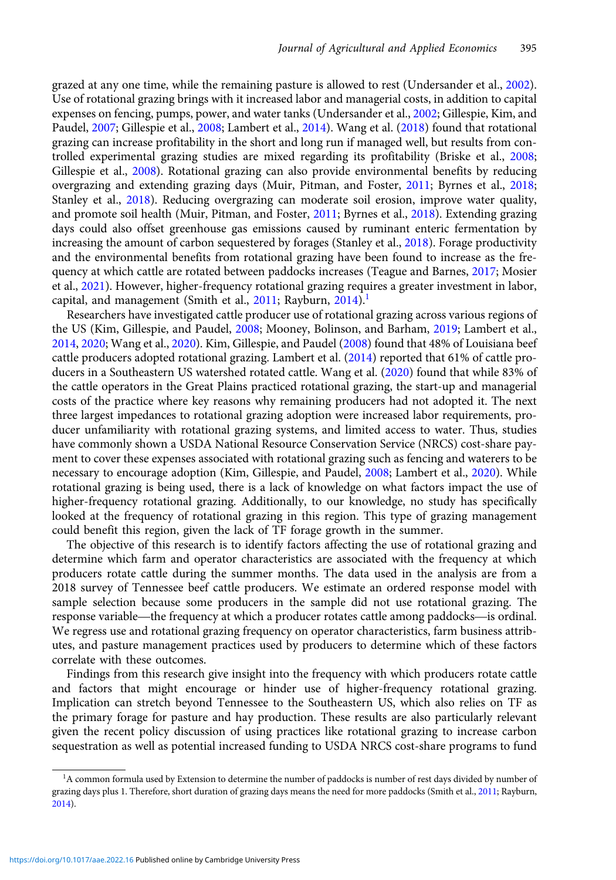grazed at any one time, while the remaining pasture is allowed to rest (Undersander et al., [2002](#page-12-0)). Use of rotational grazing brings with it increased labor and managerial costs, in addition to capital expenses on fencing, pumps, power, and water tanks (Undersander et al., [2002;](#page-12-0) Gillespie, Kim, and Paudel, [2007;](#page-11-0) Gillespie et al., [2008](#page-11-0); Lambert et al., [2014\)](#page-11-0). Wang et al. ([2018](#page-12-0)) found that rotational grazing can increase profitability in the short and long run if managed well, but results from controlled experimental grazing studies are mixed regarding its profitability (Briske et al., [2008;](#page-11-0) Gillespie et al., [2008\)](#page-11-0). Rotational grazing can also provide environmental benefits by reducing overgrazing and extending grazing days (Muir, Pitman, and Foster, [2011](#page-12-0); Byrnes et al., [2018;](#page-11-0) Stanley et al., [2018](#page-12-0)). Reducing overgrazing can moderate soil erosion, improve water quality, and promote soil health (Muir, Pitman, and Foster, [2011](#page-12-0); Byrnes et al., [2018\)](#page-11-0). Extending grazing days could also offset greenhouse gas emissions caused by ruminant enteric fermentation by increasing the amount of carbon sequestered by forages (Stanley et al., [2018\)](#page-12-0). Forage productivity and the environmental benefits from rotational grazing have been found to increase as the frequency at which cattle are rotated between paddocks increases (Teague and Barnes, [2017;](#page-12-0) Mosier et al., [2021](#page-11-0)). However, higher-frequency rotational grazing requires a greater investment in labor, capital, and management (Smith et al., [2011;](#page-12-0) Rayburn, [2014](#page-12-0)).<sup>1</sup>

Researchers have investigated cattle producer use of rotational grazing across various regions of the US (Kim, Gillespie, and Paudel, [2008](#page-11-0); Mooney, Bolinson, and Barham, [2019](#page-11-0); Lambert et al., [2014](#page-11-0), [2020](#page-11-0); Wang et al., [2020](#page-12-0)). Kim, Gillespie, and Paudel ([2008\)](#page-11-0) found that 48% of Louisiana beef cattle producers adopted rotational grazing. Lambert et al. ([2014\)](#page-11-0) reported that 61% of cattle producers in a Southeastern US watershed rotated cattle. Wang et al. [\(2020\)](#page-12-0) found that while 83% of the cattle operators in the Great Plains practiced rotational grazing, the start-up and managerial costs of the practice where key reasons why remaining producers had not adopted it. The next three largest impedances to rotational grazing adoption were increased labor requirements, producer unfamiliarity with rotational grazing systems, and limited access to water. Thus, studies have commonly shown a USDA National Resource Conservation Service (NRCS) cost-share payment to cover these expenses associated with rotational grazing such as fencing and waterers to be necessary to encourage adoption (Kim, Gillespie, and Paudel, [2008](#page-11-0); Lambert et al., [2020\)](#page-11-0). While rotational grazing is being used, there is a lack of knowledge on what factors impact the use of higher-frequency rotational grazing. Additionally, to our knowledge, no study has specifically looked at the frequency of rotational grazing in this region. This type of grazing management could benefit this region, given the lack of TF forage growth in the summer.

The objective of this research is to identify factors affecting the use of rotational grazing and determine which farm and operator characteristics are associated with the frequency at which producers rotate cattle during the summer months. The data used in the analysis are from a 2018 survey of Tennessee beef cattle producers. We estimate an ordered response model with sample selection because some producers in the sample did not use rotational grazing. The determine which farm and operator characteristics are associated with the frequency at which<br>producers rotate cattle during the summer months. The data used in the analysis are from a<br>2018 survey of Tennessee beef cattle p We regress use and rotational grazing frequency on operator characteristics, farm business attributes, and pasture management practices used by producers to determine which of these factors correlate with these outcomes.

Findings from this research give insight into the frequency with which producers rotate cattle and factors that might encourage or hinder use of higher-frequency rotational grazing. Implication can stretch beyond Tennessee to the Southeastern US, which also relies on TF as the primary forage for pasture and hay production. These results are also particularly relevant given the recent policy discussion of using practices like rotational grazing to increase carbon sequestration as well as potential increased funding to USDA NRCS cost-share programs to fund

<sup>&</sup>lt;sup>1</sup>A common formula used by Extension to determine the number of paddocks is number of rest days divided by number of grazing days plus 1. Therefore, short duration of grazing days means the need for more paddocks (Smith et al., [2011;](#page-12-0) Rayburn, [2014\)](#page-12-0).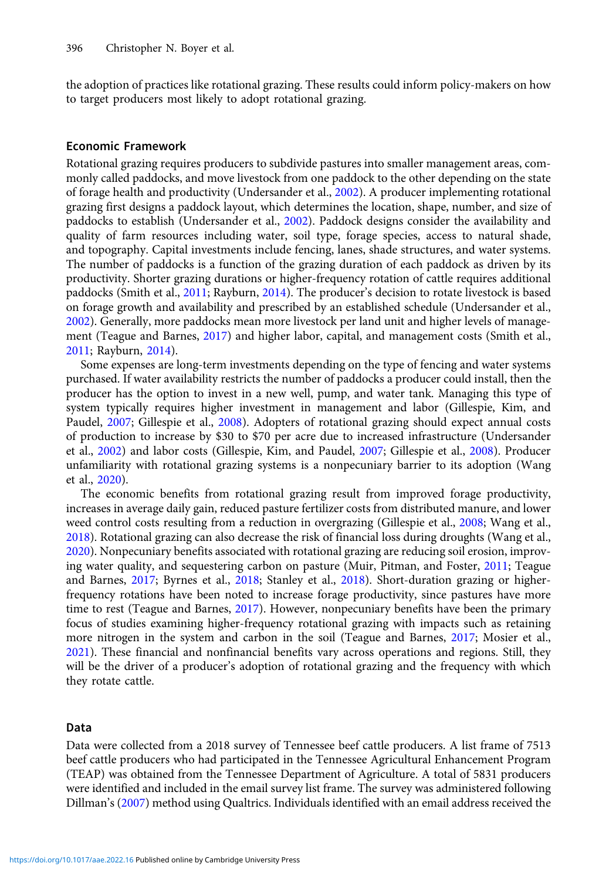the adoption of practices like rotational grazing. These results could inform policy-makers on how to target producers most likely to adopt rotational grazing.

#### Economic Framework

Rotational grazing requires producers to subdivide pastures into smaller management areas, commonly called paddocks, and move livestock from one paddock to the other depending on the state of forage health and productivity (Undersander et al., [2002\)](#page-12-0). A producer implementing rotational grazing first designs a paddock layout, which determines the location, shape, number, and size of paddocks to establish (Undersander et al., [2002\)](#page-12-0). Paddock designs consider the availability and quality of farm resources including water, soil type, forage species, access to natural shade, and topography. Capital investments include fencing, lanes, shade structures, and water systems. The number of paddocks is a function of the grazing duration of each paddock as driven by its productivity. Shorter grazing durations or higher-frequency rotation of cattle requires additional paddocks (Smith et al., [2011;](#page-12-0) Rayburn, [2014](#page-12-0)). The producer's decision to rotate livestock is based on forage growth and availability and prescribed by an established schedule (Undersander et al., [2002\)](#page-12-0). Generally, more paddocks mean more livestock per land unit and higher levels of management (Teague and Barnes, [2017\)](#page-12-0) and higher labor, capital, and management costs (Smith et al., [2011;](#page-12-0) Rayburn, [2014\)](#page-12-0).

Some expenses are long-term investments depending on the type of fencing and water systems purchased. If water availability restricts the number of paddocks a producer could install, then the producer has the option to invest in a new well, pump, and water tank. Managing this type of system typically requires higher investment in management and labor (Gillespie, Kim, and Paudel, [2007](#page-11-0); Gillespie et al., [2008](#page-11-0)). Adopters of rotational grazing should expect annual costs of production to increase by \$30 to \$70 per acre due to increased infrastructure (Undersander et al., [2002\)](#page-12-0) and labor costs (Gillespie, Kim, and Paudel, [2007;](#page-11-0) Gillespie et al., [2008\)](#page-11-0). Producer unfamiliarity with rotational grazing systems is a nonpecuniary barrier to its adoption (Wang et al., [2020](#page-12-0)).

The economic benefits from rotational grazing result from improved forage productivity, increases in average daily gain, reduced pasture fertilizer costs from distributed manure, and lower weed control costs resulting from a reduction in overgrazing (Gillespie et al., [2008](#page-11-0); Wang et al., [2018\)](#page-12-0). Rotational grazing can also decrease the risk of financial loss during droughts (Wang et al., [2020\)](#page-12-0). Nonpecuniary benefits associated with rotational grazing are reducing soil erosion, improving water quality, and sequestering carbon on pasture (Muir, Pitman, and Foster, [2011;](#page-12-0) Teague and Barnes, [2017](#page-12-0); Byrnes et al., [2018](#page-11-0); Stanley et al., [2018\)](#page-12-0). Short-duration grazing or higherfrequency rotations have been noted to increase forage productivity, since pastures have more time to rest (Teague and Barnes, [2017\)](#page-12-0). However, nonpecuniary benefits have been the primary focus of studies examining higher-frequency rotational grazing with impacts such as retaining more nitrogen in the system and carbon in the soil (Teague and Barnes, [2017;](#page-12-0) Mosier et al., [2021\)](#page-11-0). These financial and nonfinancial benefits vary across operations and regions. Still, they will be the driver of a producer's adoption of rotational grazing and the frequency with which they rotate cattle.

# Data

Data were collected from a 2018 survey of Tennessee beef cattle producers. A list frame of 7513 beef cattle producers who had participated in the Tennessee Agricultural Enhancement Program (TEAP) was obtained from the Tennessee Department of Agriculture. A total of 5831 producers were identified and included in the email survey list frame. The survey was administered following Dillman's [\(2007\)](#page-11-0) method using Qualtrics. Individuals identified with an email address received the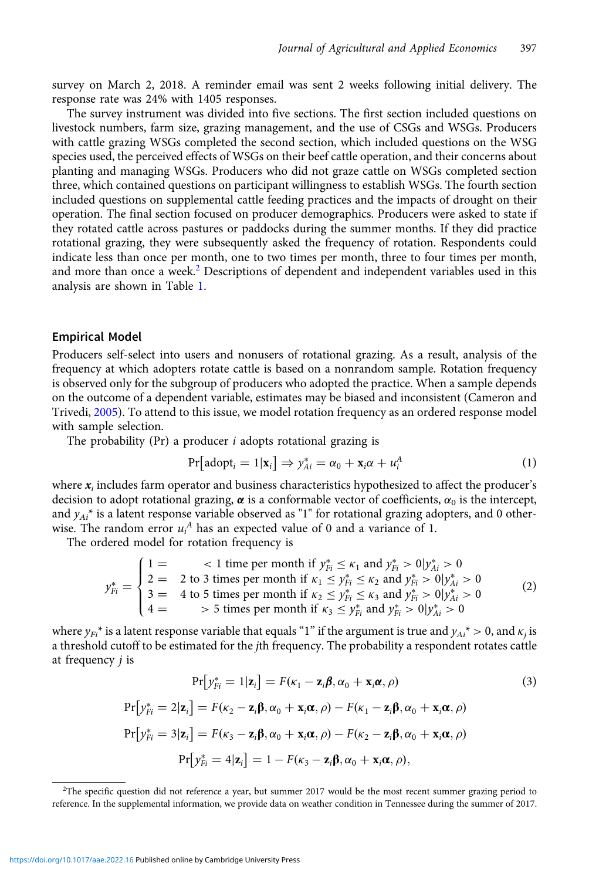<span id="page-3-0"></span>survey on March 2, 2018. A reminder email was sent 2 weeks following initial delivery. The response rate was 24% with 1405 responses.

The survey instrument was divided into five sections. The first section included questions on livestock numbers, farm size, grazing management, and the use of CSGs and WSGs. Producers with cattle grazing WSGs completed the second section, which included questions on the WSG species used, the perceived effects of WSGs on their beef cattle operation, and their concerns about planting and managing WSGs. Producers who did not graze cattle on WSGs completed section three, which contained questions on participant willingness to establish WSGs. The fourth section included questions on supplemental cattle feeding practices and the impacts of drought on their operation. The final section focused on producer demographics. Producers were asked to state if they rotated cattle across pastures or paddocks during the summer months. If they did practice rotational grazing, they were subsequently asked the frequency of rotation. Respondents could indicate less than once per month, one to two times per month, three to four times per month, and more than once a week.<sup>2</sup> Descriptions of dependent and independent variables used in this analysis are shown in Table [1.](#page-4-0)

#### Empirical Model

Producers self-select into users and nonusers of rotational grazing. As a result, analysis of the frequency at which adopters rotate cattle is based on a nonrandom sample. Rotation frequency is observed only for the subgroup of producers who adopted the practice. When a sample depends on the outcome of a dependent variable, estimates may be biased and inconsistent (Cameron and Trivedi, [2005](#page-11-0)). To attend to this issue, we model rotation frequency as an ordered response model with sample selection.

The probability (Pr) a producer  $i$  adopts rotational grazing is

$$
Pr[adopt_i = 1 | \mathbf{x}_i] \Rightarrow y_{Ai}^* = \alpha_0 + \mathbf{x}_i \alpha + u_i^A
$$
 (1)

where  $x_i$  includes farm operator and business characteristics hypothesized to affect the producer's decision to adopt rotational grazing,  $\alpha$  is a conformable vector of coefficients,  $\alpha_0$  is the intercept, and  $y_{Ai}^*$  is a latent response variable observed as "1" for rotational grazing adopters, and 0 otherwise. The random error  $u_i^A$  has an expected value of 0 and a variance of 1.

The ordered model for rotation frequency is

$$
y_{Fi}^{*} = \begin{cases} 1 = < 1 \text{ time per month if } y_{Fi}^{*} \le \kappa_1 \text{ and } y_{Fi}^{*} > 0 | y_{Ai}^{*} > 0 \\ 2 = < 2 \text{ to } 3 \text{ times per month if } \kappa_1 \le y_{Fi}^{*} \le \kappa_2 \text{ and } y_{Fi}^{*} > 0 | y_{Ai}^{*} > 0 \\ 3 = < 4 \text{ to } 5 \text{ times per month if } \kappa_2 \le y_{Fi}^{*} \le \kappa_3 \text{ and } y_{Fi}^{*} > 0 | y_{Ai}^{*} > 0 \\ 4 = > 5 \text{ times per month if } \kappa_3 \le y_{Fi}^{*} \text{ and } y_{Fi}^{*} > 0 | y_{Ai}^{*} > 0 \end{cases} \tag{2}
$$

where  $y_{Fi}^*$  is a latent response variable that equals "1" if the argument is true and  $y_{Ai}^* > 0$ , and  $\kappa_i$  is a threshold cutoff to be estimated for the jth frequency. The probability a respondent rotates cattle at frequency j is

$$
Pr[y_{Fi}^* = 1 | \mathbf{z}_i] = F(\kappa_1 - \mathbf{z}_i \boldsymbol{\beta}, \alpha_0 + \mathbf{x}_i \boldsymbol{\alpha}, \rho)
$$
\n(3)

$$
\Pr[y_{Fi}^* = 2|\mathbf{z}_i] = F(\kappa_2 - \mathbf{z}_i \boldsymbol{\beta}, \alpha_0 + \mathbf{x}_i \boldsymbol{\alpha}, \rho) - F(\kappa_1 - \mathbf{z}_i \boldsymbol{\beta}, \alpha_0 + \mathbf{x}_i \boldsymbol{\alpha}, \rho)
$$

$$
\Pr[y_{Fi}^* = 3|\mathbf{z}_i] = F(\kappa_3 - \mathbf{z}_i \boldsymbol{\beta}, \alpha_0 + \mathbf{x}_i \boldsymbol{\alpha}, \rho) - F(\kappa_2 - \mathbf{z}_i \boldsymbol{\beta}, \alpha_0 + \mathbf{x}_i \boldsymbol{\alpha}, \rho)
$$

$$
\Pr[y_{Fi}^* = 4|\mathbf{z}_i] = 1 - F(\kappa_3 - \mathbf{z}_i \boldsymbol{\beta}, \alpha_0 + \mathbf{x}_i \boldsymbol{\alpha}, \rho),
$$

<sup>2</sup> The specific question did not reference a year, but summer 2017 would be the most recent summer grazing period to reference. In the supplemental information, we provide data on weather condition in Tennessee during the summer of 2017.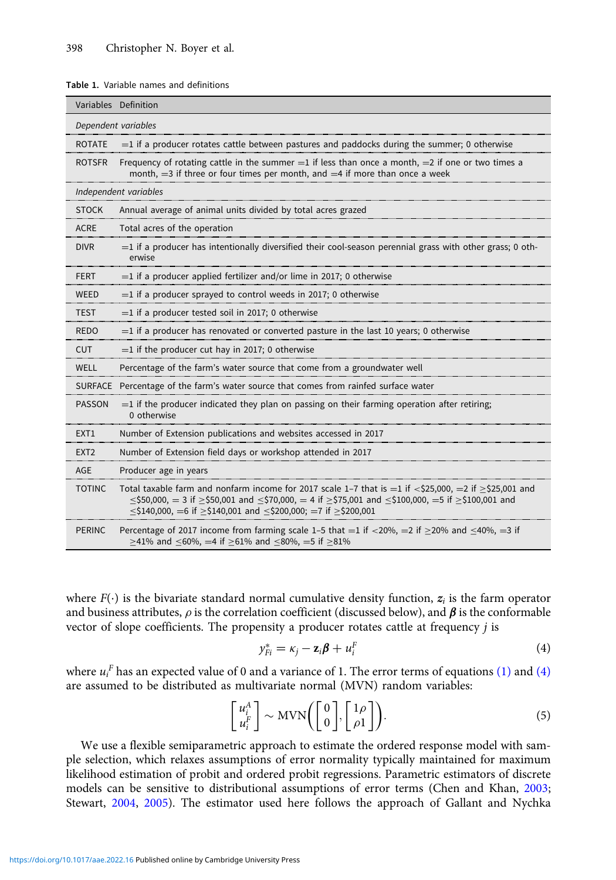#### <span id="page-4-0"></span>Table 1. Variable names and definitions

|                     | Variables Definition                                                                                                                                                                                                                                                                                                                             |  |  |  |  |
|---------------------|--------------------------------------------------------------------------------------------------------------------------------------------------------------------------------------------------------------------------------------------------------------------------------------------------------------------------------------------------|--|--|--|--|
| Dependent variables |                                                                                                                                                                                                                                                                                                                                                  |  |  |  |  |
| <b>ROTATE</b>       | $=$ 1 if a producer rotates cattle between pastures and paddocks during the summer; 0 otherwise                                                                                                                                                                                                                                                  |  |  |  |  |
| <b>ROTSFR</b>       | Frequency of rotating cattle in the summer $=1$ if less than once a month, $=2$ if one or two times a<br>month, $=$ 3 if three or four times per month, and $=$ 4 if more than once a week                                                                                                                                                       |  |  |  |  |
|                     | Independent variables                                                                                                                                                                                                                                                                                                                            |  |  |  |  |
| <b>STOCK</b>        | Annual average of animal units divided by total acres grazed                                                                                                                                                                                                                                                                                     |  |  |  |  |
| <b>ACRE</b>         | Total acres of the operation                                                                                                                                                                                                                                                                                                                     |  |  |  |  |
| <b>DIVR</b>         | $=$ 1 if a producer has intentionally diversified their cool-season perennial grass with other grass; 0 oth-<br>erwise                                                                                                                                                                                                                           |  |  |  |  |
| <b>FERT</b>         | $=$ 1 if a producer applied fertilizer and/or lime in 2017; 0 otherwise                                                                                                                                                                                                                                                                          |  |  |  |  |
| <b>WEED</b>         | $=$ 1 if a producer sprayed to control weeds in 2017; 0 otherwise                                                                                                                                                                                                                                                                                |  |  |  |  |
| <b>TEST</b>         | $=$ 1 if a producer tested soil in 2017; 0 otherwise                                                                                                                                                                                                                                                                                             |  |  |  |  |
| <b>REDO</b>         | $=$ 1 if a producer has renovated or converted pasture in the last 10 years; 0 otherwise                                                                                                                                                                                                                                                         |  |  |  |  |
| <b>CUT</b>          | $=$ 1 if the producer cut hay in 2017; 0 otherwise                                                                                                                                                                                                                                                                                               |  |  |  |  |
| <b>WELL</b>         | Percentage of the farm's water source that come from a groundwater well                                                                                                                                                                                                                                                                          |  |  |  |  |
| <b>SURFACE</b>      | Percentage of the farm's water source that comes from rainfed surface water                                                                                                                                                                                                                                                                      |  |  |  |  |
| <b>PASSON</b>       | $=$ 1 if the producer indicated they plan on passing on their farming operation after retiring;<br>0 otherwise                                                                                                                                                                                                                                   |  |  |  |  |
| EXT <sub>1</sub>    | Number of Extension publications and websites accessed in 2017                                                                                                                                                                                                                                                                                   |  |  |  |  |
| EXT <sub>2</sub>    | Number of Extension field days or workshop attended in 2017                                                                                                                                                                                                                                                                                      |  |  |  |  |
| AGE                 | Producer age in years                                                                                                                                                                                                                                                                                                                            |  |  |  |  |
| <b>TOTINC</b>       | Total taxable farm and nonfarm income for 2017 scale 1-7 that is $=1$ if $<$ \$25,000, $=$ 2 if $>$ \$25,001 and<br>$\leq$ \$50,000, = 3 if $\geq$ \$50,001 and $\leq$ \$70,000, = 4 if $\geq$ \$75,001 and $\leq$ \$100,000, = 5 if $\geq$ \$100,001 and<br>$\le$ \$140,000, $=$ 6 if $>$ \$140,001 and $\le$ \$200,000; $=$ 7 if $>$ \$200,001 |  |  |  |  |
| <b>PERINC</b>       | Percentage of 2017 income from farming scale 1-5 that $=1$ if $<$ 20%, $=$ 2 if $\geq$ 20% and $\leq$ 40%, $=$ 3 if<br>≥41% and ≤60%, =4 if ≥61% and ≤80%, =5 if ≥81%                                                                                                                                                                            |  |  |  |  |

where  $F(\cdot)$  is the bivariate standard normal cumulative density function,  $z_i$  is the farm operator and business attributes,  $\rho$  is the correlation coefficient (discussed below), and  $\beta$  is the conformable vector of slope coefficients. The propensity a producer rotates cattle at frequency j is

$$
y_{Fi}^* = \kappa_j - \mathbf{z}_i \boldsymbol{\beta} + u_i^F
$$
 (4)

where  $u_i^F$  has an expected value of 0 and a variance of 1. The error terms of equations [\(1\)](#page-3-0) and (4) are assumed to be distributed as multivariate normal (MVN) random variables:

$$
\begin{bmatrix} u_i^A \\ u_i^F \end{bmatrix} \sim \text{MVN}\bigg(\begin{bmatrix} 0 \\ 0 \end{bmatrix}, \begin{bmatrix} 1\rho \\ \rho 1 \end{bmatrix}\bigg). \tag{5}
$$

We use a flexible semiparametric approach to estimate the ordered response model with sample selection, which relaxes assumptions of error normality typically maintained for maximum likelihood estimation of probit and ordered probit regressions. Parametric estimators of discrete models can be sensitive to distributional assumptions of error terms (Chen and Khan, [2003](#page-11-0); Stewart, [2004](#page-12-0), [2005\)](#page-12-0). The estimator used here follows the approach of Gallant and Nychka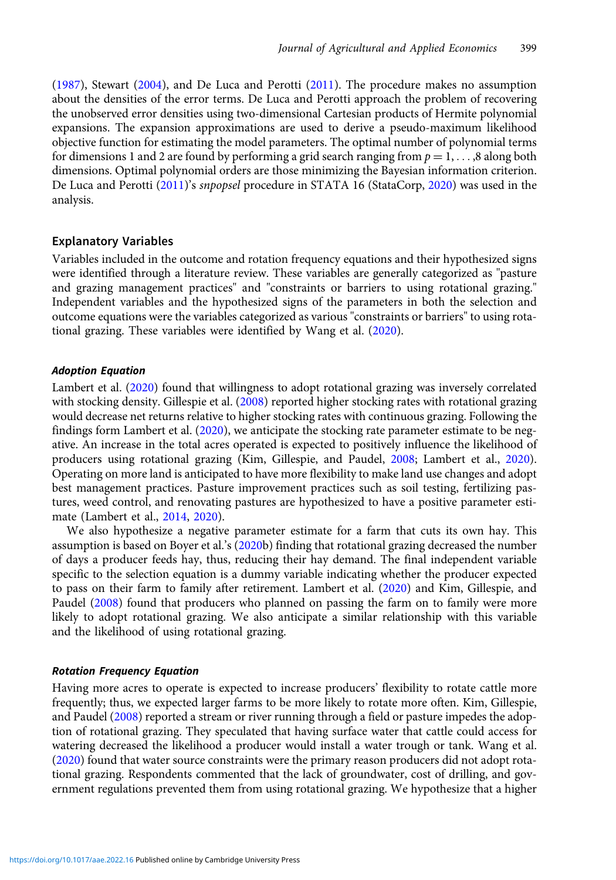[\(1987\)](#page-11-0), Stewart ([2004](#page-12-0)), and De Luca and Perotti ([2011](#page-11-0)). The procedure makes no assumption about the densities of the error terms. De Luca and Perotti approach the problem of recovering the unobserved error densities using two-dimensional Cartesian products of Hermite polynomial expansions. The expansion approximations are used to derive a pseudo-maximum likelihood objective function for estimating the model parameters. The optimal number of polynomial terms for dimensions 1 and 2 are found by performing a grid search ranging from  $p = 1, \ldots, 8$  along both dimensions. Optimal polynomial orders are those minimizing the Bayesian information criterion. De Luca and Perotti [\(2011\)](#page-11-0)'s snpopsel procedure in STATA 16 (StataCorp, [2020](#page-12-0)) was used in the analysis.

# Explanatory Variables

Variables included in the outcome and rotation frequency equations and their hypothesized signs were identified through a literature review. These variables are generally categorized as "pasture and grazing management practices" and "constraints or barriers to using rotational grazing." Independent variables and the hypothesized signs of the parameters in both the selection and outcome equations were the variables categorized as various "constraints or barriers" to using rotational grazing. These variables were identified by Wang et al. ([2020\)](#page-12-0).

#### Adoption Equation

Lambert et al. [\(2020\)](#page-11-0) found that willingness to adopt rotational grazing was inversely correlated with stocking density. Gillespie et al. [\(2008\)](#page-11-0) reported higher stocking rates with rotational grazing would decrease net returns relative to higher stocking rates with continuous grazing. Following the findings form Lambert et al. [\(2020\)](#page-11-0), we anticipate the stocking rate parameter estimate to be negative. An increase in the total acres operated is expected to positively influence the likelihood of producers using rotational grazing (Kim, Gillespie, and Paudel, [2008](#page-11-0); Lambert et al., [2020](#page-11-0)). Operating on more land is anticipated to have more flexibility to make land use changes and adopt best management practices. Pasture improvement practices such as soil testing, fertilizing pastures, weed control, and renovating pastures are hypothesized to have a positive parameter estimate (Lambert et al., [2014,](#page-11-0) [2020](#page-11-0)).

We also hypothesize a negative parameter estimate for a farm that cuts its own hay. This assumption is based on Boyer et al.'s [\(2020b](#page-11-0)) finding that rotational grazing decreased the number of days a producer feeds hay, thus, reducing their hay demand. The final independent variable specific to the selection equation is a dummy variable indicating whether the producer expected to pass on their farm to family after retirement. Lambert et al. [\(2020\)](#page-11-0) and Kim, Gillespie, and Paudel [\(2008\)](#page-11-0) found that producers who planned on passing the farm on to family were more likely to adopt rotational grazing. We also anticipate a similar relationship with this variable and the likelihood of using rotational grazing.

#### Rotation Frequency Equation

Having more acres to operate is expected to increase producers' flexibility to rotate cattle more frequently; thus, we expected larger farms to be more likely to rotate more often. Kim, Gillespie, and Paudel [\(2008](#page-11-0)) reported a stream or river running through a field or pasture impedes the adoption of rotational grazing. They speculated that having surface water that cattle could access for watering decreased the likelihood a producer would install a water trough or tank. Wang et al. [\(2020\)](#page-12-0) found that water source constraints were the primary reason producers did not adopt rotational grazing. Respondents commented that the lack of groundwater, cost of drilling, and government regulations prevented them from using rotational grazing. We hypothesize that a higher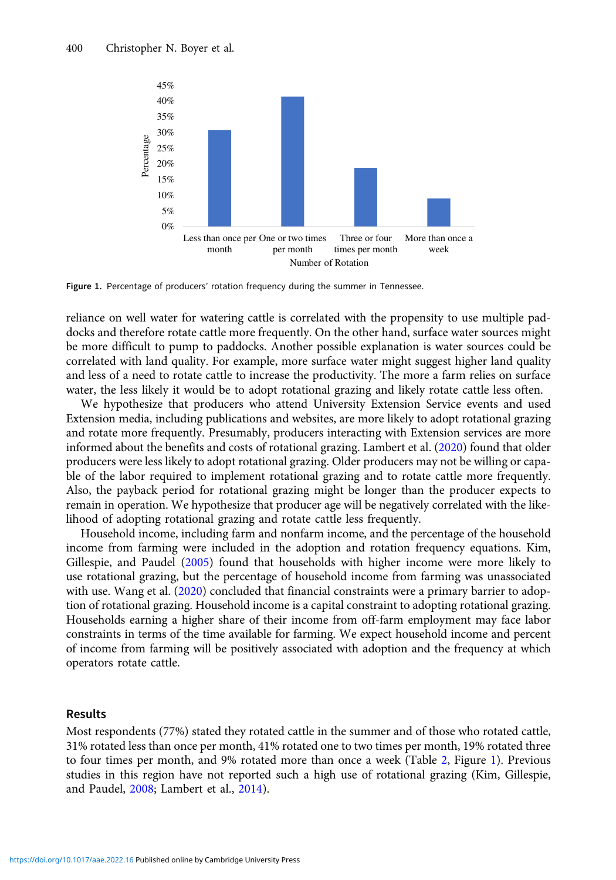

Figure 1. Percentage of producers' rotation frequency during the summer in Tennessee.

reliance on well water for watering cattle is correlated with the propensity to use multiple paddocks and therefore rotate cattle more frequently. On the other hand, surface water sources might be more difficult to pump to paddocks. Another possible explanation is water sources could be correlated with land quality. For example, more surface water might suggest higher land quality and less of a need to rotate cattle to increase the productivity. The more a farm relies on surface water, the less likely it would be to adopt rotational grazing and likely rotate cattle less often.

We hypothesize that producers who attend University Extension Service events and used Extension media, including publications and websites, are more likely to adopt rotational grazing and rotate more frequently. Presumably, producers interacting with Extension services are more informed about the benefits and costs of rotational grazing. Lambert et al. ([2020](#page-11-0)) found that older producers were less likely to adopt rotational grazing. Older producers may not be willing or capable of the labor required to implement rotational grazing and to rotate cattle more frequently. Also, the payback period for rotational grazing might be longer than the producer expects to remain in operation. We hypothesize that producer age will be negatively correlated with the likelihood of adopting rotational grazing and rotate cattle less frequently.

Household income, including farm and nonfarm income, and the percentage of the household income from farming were included in the adoption and rotation frequency equations. Kim, Gillespie, and Paudel [\(2005](#page-11-0)) found that households with higher income were more likely to use rotational grazing, but the percentage of household income from farming was unassociated with use. Wang et al. ([2020](#page-12-0)) concluded that financial constraints were a primary barrier to adoption of rotational grazing. Household income is a capital constraint to adopting rotational grazing. Households earning a higher share of their income from off-farm employment may face labor constraints in terms of the time available for farming. We expect household income and percent of income from farming will be positively associated with adoption and the frequency at which operators rotate cattle.

# Results

Most respondents (77%) stated they rotated cattle in the summer and of those who rotated cattle, 31% rotated less than once per month, 41% rotated one to two times per month, 19% rotated three to four times per month, and 9% rotated more than once a week (Table [2,](#page-7-0) Figure 1). Previous studies in this region have not reported such a high use of rotational grazing (Kim, Gillespie, and Paudel, [2008;](#page-11-0) Lambert et al., [2014\)](#page-11-0).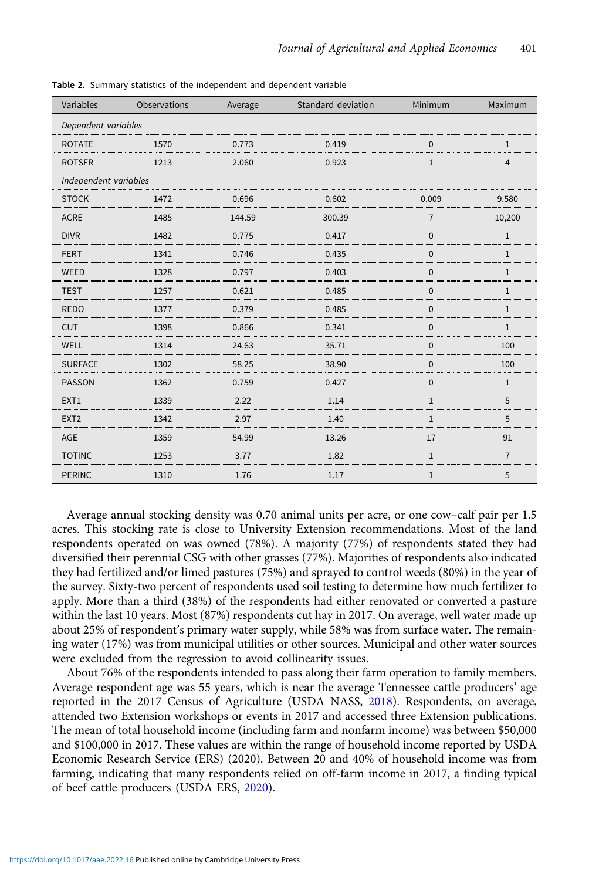| Variables             | Observations | Average | Standard deviation | Minimum      | Maximum        |  |  |  |
|-----------------------|--------------|---------|--------------------|--------------|----------------|--|--|--|
| Dependent variables   |              |         |                    |              |                |  |  |  |
| <b>ROTATE</b>         | 1570         | 0.773   | 0.419              | $\mathbf{0}$ | 1              |  |  |  |
| <b>ROTSFR</b>         | 1213         | 2.060   | 0.923              | 1            | $\overline{4}$ |  |  |  |
| Independent variables |              |         |                    |              |                |  |  |  |
| <b>STOCK</b>          | 1472         | 0.696   | 0.602              | 0.009        | 9.580          |  |  |  |
| <b>ACRE</b>           | 1485         | 144.59  | 300.39             | 7            | 10,200         |  |  |  |
| <b>DIVR</b>           | 1482         | 0.775   | 0.417              | $\Omega$     | 1              |  |  |  |
| <b>FERT</b>           | 1341         | 0.746   | 0.435              | $\Omega$     | $\mathbf{1}$   |  |  |  |
| WEED                  | 1328         | 0.797   | 0.403              | $\mathbf{0}$ | $\mathbf{1}$   |  |  |  |
| <b>TEST</b>           | 1257         | 0.621   | 0.485              | $\Omega$     | 1              |  |  |  |
| <b>REDO</b>           | 1377         | 0.379   | 0.485              | $\Omega$     | 1              |  |  |  |
| <b>CUT</b>            | 1398         | 0.866   | 0.341              | $\Omega$     | $\mathbf{1}$   |  |  |  |
| WELL                  | 1314         | 24.63   | 35.71              | $\Omega$     | 100            |  |  |  |
| <b>SURFACE</b>        | 1302         | 58.25   | 38.90              | 0            | 100            |  |  |  |
| <b>PASSON</b>         | 1362         | 0.759   | 0.427              | $\Omega$     | 1              |  |  |  |
| EXT1                  | 1339         | 2.22    | 1.14               | $\mathbf{1}$ | 5              |  |  |  |
| EXT <sub>2</sub>      | 1342         | 2.97    | 1.40               | $\mathbf{1}$ | 5              |  |  |  |
| AGE                   | 1359         | 54.99   | 13.26              | 17           | 91             |  |  |  |
| <b>TOTINC</b>         | 1253         | 3.77    | 1.82               | 1            | 7              |  |  |  |
| <b>PERINC</b>         | 1310         | 1.76    | 1.17               | $\mathbf{1}$ | 5              |  |  |  |

<span id="page-7-0"></span>Table 2. Summary statistics of the independent and dependent variable

Average annual stocking density was 0.70 animal units per acre, or one cow–calf pair per 1.5 acres. This stocking rate is close to University Extension recommendations. Most of the land respondents operated on was owned (78%). A majority (77%) of respondents stated they had diversified their perennial CSG with other grasses (77%). Majorities of respondents also indicated they had fertilized and/or limed pastures (75%) and sprayed to control weeds (80%) in the year of the survey. Sixty-two percent of respondents used soil testing to determine how much fertilizer to apply. More than a third (38%) of the respondents had either renovated or converted a pasture within the last 10 years. Most (87%) respondents cut hay in 2017. On average, well water made up about 25% of respondent's primary water supply, while 58% was from surface water. The remaining water (17%) was from municipal utilities or other sources. Municipal and other water sources were excluded from the regression to avoid collinearity issues.

About 76% of the respondents intended to pass along their farm operation to family members. Average respondent age was 55 years, which is near the average Tennessee cattle producers' age reported in the 2017 Census of Agriculture (USDA NASS, [2018](#page-12-0)). Respondents, on average, attended two Extension workshops or events in 2017 and accessed three Extension publications. The mean of total household income (including farm and nonfarm income) was between \$50,000 and \$100,000 in 2017. These values are within the range of household income reported by USDA Economic Research Service (ERS) (2020). Between 20 and 40% of household income was from farming, indicating that many respondents relied on off-farm income in 2017, a finding typical of beef cattle producers (USDA ERS, [2020](#page-12-0)).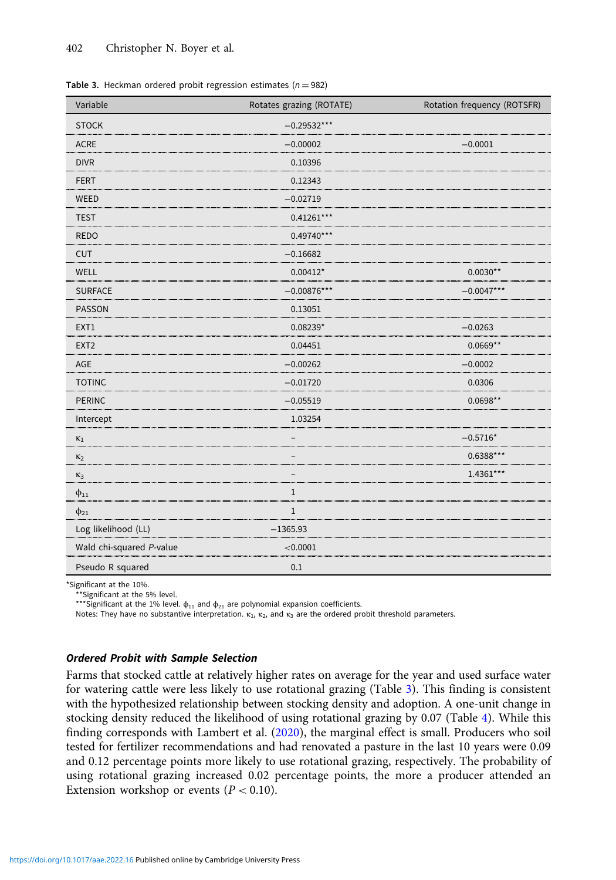| Variable                 | Rotates grazing (ROTATE) | Rotation frequency (ROTSFR) |
|--------------------------|--------------------------|-----------------------------|
| <b>STOCK</b>             | $-0.29532***$            |                             |
| <b>ACRE</b>              | $-0.00002$               | $-0.0001$                   |
| <b>DIVR</b>              | 0.10396                  |                             |
| <b>FERT</b>              | 0.12343                  |                             |
| WEED                     | $-0.02719$               |                             |
| <b>TEST</b>              | $0.41261***$             |                             |
| <b>REDO</b>              | $0.49740***$             |                             |
| <b>CUT</b>               | $-0.16682$               |                             |
| WELL                     | $0.00412*$               | $0.0030**$                  |
| <b>SURFACE</b>           | $-0.00876***$            | $-0.0047***$                |
| PASSON                   | 0.13051                  |                             |
| EXT1                     | $0.08239*$               | $-0.0263$                   |
| EXT <sub>2</sub>         | 0.04451                  | $0.0669**$                  |
| AGE                      | $-0.00262$               | $-0.0002$                   |
| <b>TOTINC</b>            | $-0.01720$               | 0.0306                      |
| <b>PERINC</b>            | $-0.05519$               | $0.0698**$                  |
| Intercept                | 1.03254                  |                             |
| $\kappa_1$               |                          | $-0.5716*$                  |
| $\kappa_2$               |                          | $0.6388***$                 |
| $\kappa_3$               |                          | 1.4361***                   |
| $\phi_{11}$              | $\mathbf{1}$             |                             |
| $\phi_{21}$              | $\mathbf{1}$             |                             |
| Log likelihood (LL)      | $-1365.93$               |                             |
| Wald chi-squared P-value | < 0.0001                 |                             |
| Pseudo R squared         | 0.1                      |                             |

Table 3. Heckman ordered probit regression estimates ( $n = 982$ )

\*Significant at the 10%.

\*\*Significant at the 5% level.

\*\*\*Significant at the 1% level.  $\phi_{11}$  and  $\phi_{21}$  are polynomial expansion coefficients.

Notes: They have no substantive interpretation.  $\kappa_1$ ,  $\kappa_2$ , and  $\kappa_3$  are the ordered probit threshold parameters.

# Ordered Probit with Sample Selection

Farms that stocked cattle at relatively higher rates on average for the year and used surface water for watering cattle were less likely to use rotational grazing (Table 3). This finding is consistent with the hypothesized relationship between stocking density and adoption. A one-unit change in stocking density reduced the likelihood of using rotational grazing by 0.07 (Table [4\)](#page-9-0). While this finding corresponds with Lambert et al. [\(2020](#page-11-0)), the marginal effect is small. Producers who soil tested for fertilizer recommendations and had renovated a pasture in the last 10 years were 0.09 and 0.12 percentage points more likely to use rotational grazing, respectively. The probability of using rotational grazing increased 0.02 percentage points, the more a producer attended an Extension workshop or events ( $P < 0.10$ ).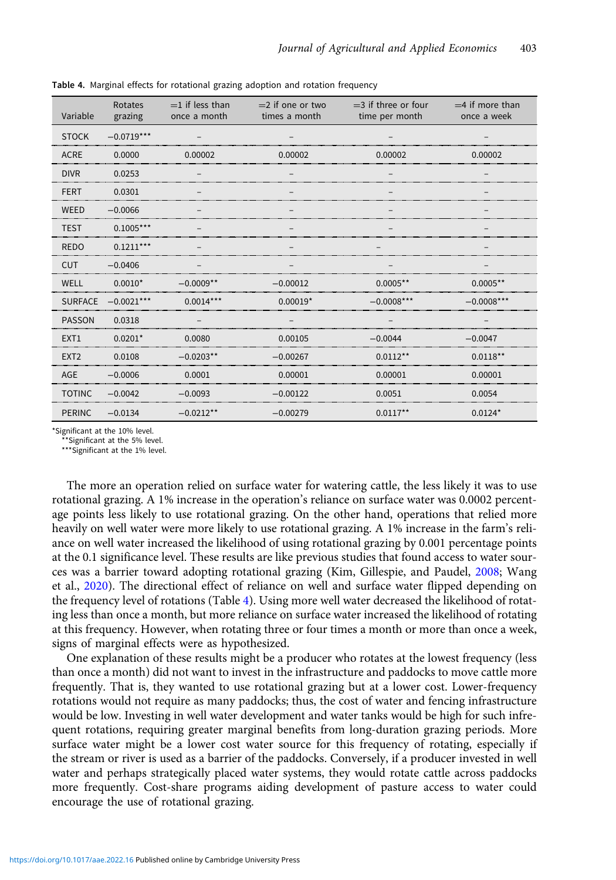| Variable         | Rotates<br>grazing   | $=$ 1 if less than<br>once a month | $=$ 2 if one or two<br>times a month | $=$ 3 if three or four<br>time per month | $=4$ if more than<br>once a week |
|------------------|----------------------|------------------------------------|--------------------------------------|------------------------------------------|----------------------------------|
| <b>STOCK</b>     | $-0.0719***$         |                                    |                                      |                                          |                                  |
| <b>ACRE</b>      | 0.0000               | 0.00002                            | 0.00002                              | 0.00002                                  | 0.00002                          |
| <b>DIVR</b>      | 0.0253               |                                    |                                      |                                          |                                  |
| <b>FERT</b>      | 0.0301               |                                    |                                      |                                          |                                  |
| <b>WEED</b>      | $-0.0066$            |                                    |                                      |                                          |                                  |
| <b>TEST</b>      | $0.1005***$          |                                    |                                      |                                          |                                  |
| <b>REDO</b>      | $0.1211***$          |                                    |                                      |                                          |                                  |
| <b>CUT</b>       | $-0.0406$            |                                    |                                      |                                          |                                  |
| WELL             | $0.0010*$            | $-0.0009**$                        | $-0.00012$                           | $0.0005**$                               | $0.0005**$                       |
|                  | SURFACE $-0.0021***$ | $0.0014***$                        | $0.00019*$                           | $-0.0008***$                             | $-0.0008***$                     |
| <b>PASSON</b>    | 0.0318               |                                    |                                      |                                          |                                  |
| EXT1             | $0.0201*$            | 0.0080                             | 0.00105                              | $-0.0044$                                | $-0.0047$                        |
| FXT <sub>2</sub> | 0.0108               | $-0.0203**$                        | $-0.00267$                           | $0.0112**$                               | $0.0118**$                       |
| AGE              | $-0.0006$            | 0.0001                             | 0.00001                              | 0.00001                                  | 0.00001                          |
| <b>TOTINC</b>    | $-0.0042$            | $-0.0093$                          | $-0.00122$                           | 0.0051                                   | 0.0054                           |
| <b>PERINC</b>    | $-0.0134$            | $-0.0212**$                        | $-0.00279$                           | $0.0117**$                               | $0.0124*$                        |

<span id="page-9-0"></span>Table 4. Marginal effects for rotational grazing adoption and rotation frequency

\*Significant at the 10% level.

\*Significant at the 5% level.

\*\*\*Significant at the 1% level.

The more an operation relied on surface water for watering cattle, the less likely it was to use rotational grazing. A 1% increase in the operation's reliance on surface water was 0.0002 percentage points less likely to use rotational grazing. On the other hand, operations that relied more heavily on well water were more likely to use rotational grazing. A 1% increase in the farm's reliance on well water increased the likelihood of using rotational grazing by 0.001 percentage points at the 0.1 significance level. These results are like previous studies that found access to water sources was a barrier toward adopting rotational grazing (Kim, Gillespie, and Paudel, [2008;](#page-11-0) Wang et al., [2020](#page-12-0)). The directional effect of reliance on well and surface water flipped depending on the frequency level of rotations (Table 4). Using more well water decreased the likelihood of rotating less than once a month, but more reliance on surface water increased the likelihood of rotating at this frequency. However, when rotating three or four times a month or more than once a week, signs of marginal effects were as hypothesized.

One explanation of these results might be a producer who rotates at the lowest frequency (less than once a month) did not want to invest in the infrastructure and paddocks to move cattle more frequently. That is, they wanted to use rotational grazing but at a lower cost. Lower-frequency rotations would not require as many paddocks; thus, the cost of water and fencing infrastructure would be low. Investing in well water development and water tanks would be high for such infrequent rotations, requiring greater marginal benefits from long-duration grazing periods. More surface water might be a lower cost water source for this frequency of rotating, especially if the stream or river is used as a barrier of the paddocks. Conversely, if a producer invested in well water and perhaps strategically placed water systems, they would rotate cattle across paddocks more frequently. Cost-share programs aiding development of pasture access to water could encourage the use of rotational grazing.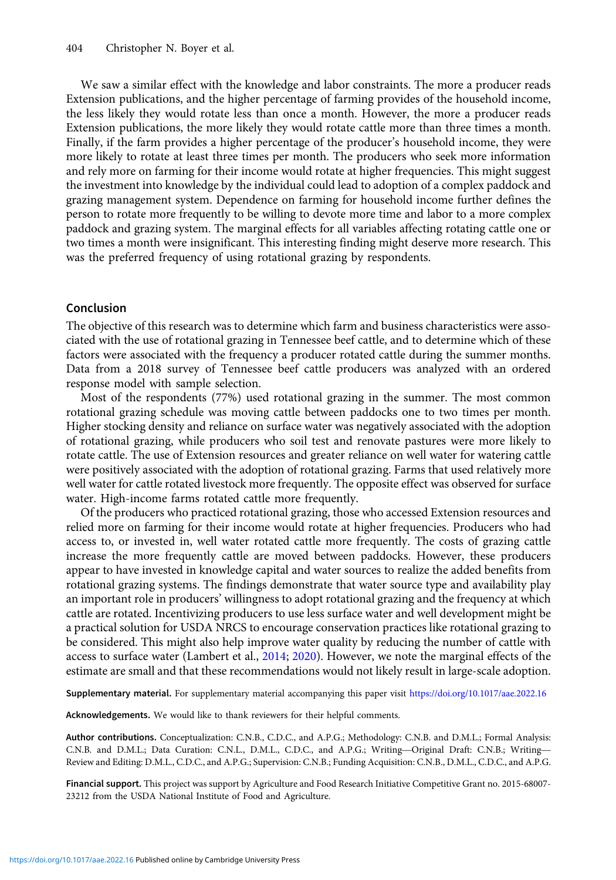We saw a similar effect with the knowledge and labor constraints. The more a producer reads Extension publications, and the higher percentage of farming provides of the household income, the less likely they would rotate less than once a month. However, the more a producer reads Extension publications, the more likely they would rotate cattle more than three times a month. Finally, if the farm provides a higher percentage of the producer's household income, they were more likely to rotate at least three times per month. The producers who seek more information and rely more on farming for their income would rotate at higher frequencies. This might suggest the investment into knowledge by the individual could lead to adoption of a complex paddock and grazing management system. Dependence on farming for household income further defines the person to rotate more frequently to be willing to devote more time and labor to a more complex paddock and grazing system. The marginal effects for all variables affecting rotating cattle one or two times a month were insignificant. This interesting finding might deserve more research. This was the preferred frequency of using rotational grazing by respondents.

# Conclusion

The objective of this research was to determine which farm and business characteristics were associated with the use of rotational grazing in Tennessee beef cattle, and to determine which of these factors were associated with the frequency a producer rotated cattle during the summer months. Data from a 2018 survey of Tennessee beef cattle producers was analyzed with an ordered response model with sample selection.

Most of the respondents (77%) used rotational grazing in the summer. The most common rotational grazing schedule was moving cattle between paddocks one to two times per month. Higher stocking density and reliance on surface water was negatively associated with the adoption of rotational grazing, while producers who soil test and renovate pastures were more likely to rotate cattle. The use of Extension resources and greater reliance on well water for watering cattle were positively associated with the adoption of rotational grazing. Farms that used relatively more well water for cattle rotated livestock more frequently. The opposite effect was observed for surface water. High-income farms rotated cattle more frequently.

Of the producers who practiced rotational grazing, those who accessed Extension resources and relied more on farming for their income would rotate at higher frequencies. Producers who had access to, or invested in, well water rotated cattle more frequently. The costs of grazing cattle increase the more frequently cattle are moved between paddocks. However, these producers appear to have invested in knowledge capital and water sources to realize the added benefits from rotational grazing systems. The findings demonstrate that water source type and availability play an important role in producers' willingness to adopt rotational grazing and the frequency at which cattle are rotated. Incentivizing producers to use less surface water and well development might be a practical solution for USDA NRCS to encourage conservation practices like rotational grazing to be considered. This might also help improve water quality by reducing the number of cattle with access to surface water (Lambert et al., [2014](#page-11-0); [2020\)](#page-11-0). However, we note the marginal effects of the estimate are small and that these recommendations would not likely result in large-scale adoption.

Supplementary material. For supplementary material accompanying this paper visit <https://doi.org/10.1017/aae.2022.16>

Acknowledgements. We would like to thank reviewers for their helpful comments.

Author contributions. Conceptualization: C.N.B., C.D.C., and A.P.G.; Methodology: C.N.B. and D.M.L.; Formal Analysis: Acknowledgements. We would like to thank reviewers for their helpful comments.<br>Author contributions. Conceptualization: C.N.B., C.D.C., and A.P.G.; Methodology: C.N.B. and D.M.L.; Formal Analysis:<br>C.N.B. and D.M.L.; Data C Review and Editing: D.M.L., C.D.C., and A.P.G.; Supervision: C.N.B.; Funding Acquisition: C.N.B., D.M.L., C.D.C., and A.P.G.

Financial support. This project was support by Agriculture and Food Research Initiative Competitive Grant no. 2015-68007-23212 from the USDA National Institute of Food and Agriculture.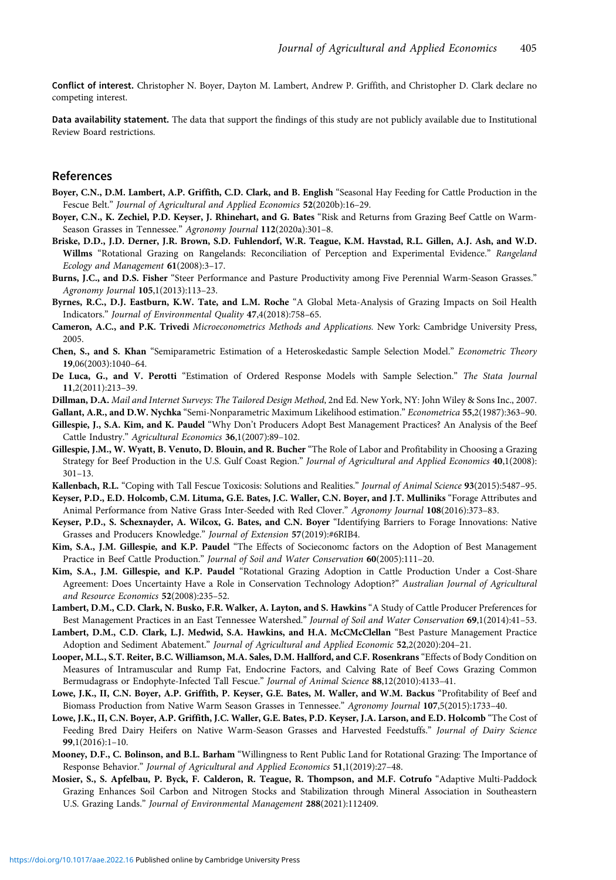<span id="page-11-0"></span>Conflict of interest. Christopher N. Boyer, Dayton M. Lambert, Andrew P. Griffith, and Christopher D. Clark declare no competing interest.

Data availability statement. The data that support the findings of this study are not publicly available due to Institutional Review Board restrictions.

#### References

- Boyer, C.N., D.M. Lambert, A.P. Griffith, C.D. Clark, and B. English "Seasonal Hay Feeding for Cattle Production in the Fescue Belt." Journal of Agricultural and Applied Economics 52(2020b):16–29.
- Boyer, C.N., K. Zechiel, P.D. Keyser, J. Rhinehart, and G. Bates "Risk and Returns from Grazing Beef Cattle on Warm-Season Grasses in Tennessee." Agronomy Journal 112(2020a):301-8.
- Briske, D.D., J.D. Derner, J.R. Brown, S.D. Fuhlendorf, W.R. Teague, K.M. Havstad, R.L. Gillen, A.J. Ash, and W.D. Willms "Rotational Grazing on Rangelands: Reconciliation of Perception and Experimental Evidence." Rangeland Ecology and Management 61(2008):3–17.
- Burns, J.C., and D.S. Fisher "Steer Performance and Pasture Productivity among Five Perennial Warm-Season Grasses." Agronomy Journal 105,1(2013):113–23.
- Byrnes, R.C., D.J. Eastburn, K.W. Tate, and L.M. Roche "A Global Meta-Analysis of Grazing Impacts on Soil Health Indicators." Journal of Environmental Quality 47,4(2018):758–65.
- Cameron, A.C., and P.K. Trivedi Microeconometrics Methods and Applications. New York: Cambridge University Press, 2005.
- Chen, S., and S. Khan "Semiparametric Estimation of a Heteroskedastic Sample Selection Model." Econometric Theory 19,06(2003):1040–64.
- De Luca, G., and V. Perotti "Estimation of Ordered Response Models with Sample Selection." The Stata Journal 11,2(2011):213–39.
- Dillman, D.A. Mail and Internet Surveys: The Tailored Design Method, 2nd Ed. New York, NY: John Wiley & Sons Inc., 2007.
- Gallant, A.R., and D.W. Nychka "Semi-Nonparametric Maximum Likelihood estimation." Econometrica 55,2(1987):363–90.
- Gillespie, J., S.A. Kim, and K. Paudel "Why Don't Producers Adopt Best Management Practices? An Analysis of the Beef Cattle Industry." Agricultural Economics 36,1(2007):89–102.
- Gillespie, J.M., W. Wyatt, B. Venuto, D. Blouin, and R. Bucher "The Role of Labor and Profitability in Choosing a Grazing Strategy for Beef Production in the U.S. Gulf Coast Region." Journal of Agricultural and Applied Economics 40,1(2008): 301–13.
- Kallenbach, R.L. "Coping with Tall Fescue Toxicosis: Solutions and Realities." Journal of Animal Science 93(2015):5487-95.
- Keyser, P.D., E.D. Holcomb, C.M. Lituma, G.E. Bates, J.C. Waller, C.N. Boyer, and J.T. Mulliniks "Forage Attributes and Animal Performance from Native Grass Inter-Seeded with Red Clover." Agronomy Journal 108(2016):373-83.
- Keyser, P.D., S. Schexnayder, A. Wilcox, G. Bates, and C.N. Boyer "Identifying Barriers to Forage Innovations: Native Grasses and Producers Knowledge." Journal of Extension 57(2019):#6RIB4.
- Kim, S.A., J.M. Gillespie, and K.P. Paudel "The Effects of Socieconomc factors on the Adoption of Best Management Practice in Beef Cattle Production." Journal of Soil and Water Conservation 60(2005):111–20.
- Kim, S.A., J.M. Gillespie, and K.P. Paudel "Rotational Grazing Adoption in Cattle Production Under a Cost-Share Agreement: Does Uncertainty Have a Role in Conservation Technology Adoption?" Australian Journal of Agricultural and Resource Economics 52(2008):235–52.
- Lambert, D.M., C.D. Clark, N. Busko, F.R. Walker, A. Layton, and S. Hawkins "A Study of Cattle Producer Preferences for Best Management Practices in an East Tennessee Watershed." Journal of Soil and Water Conservation 69,1(2014):41–53.
- Lambert, D.M., C.D. Clark, L.J. Medwid, S.A. Hawkins, and H.A. McCMcClellan "Best Pasture Management Practice Adoption and Sediment Abatement." Journal of Agricultural and Applied Economic 52,2(2020):204–21.
- Looper, M.L., S.T. Reiter, B.C. Williamson, M.A. Sales, D.M. Hallford, and C.F. Rosenkrans "Effects of Body Condition on Measures of Intramuscular and Rump Fat, Endocrine Factors, and Calving Rate of Beef Cows Grazing Common Bermudagrass or Endophyte-Infected Tall Fescue." Journal of Animal Science 88,12(2010):4133–41.
- Lowe, J.K., II, C.N. Boyer, A.P. Griffith, P. Keyser, G.E. Bates, M. Waller, and W.M. Backus "Profitability of Beef and Biomass Production from Native Warm Season Grasses in Tennessee." Agronomy Journal 107,5(2015):1733–40.
- Lowe, J.K., II, C.N. Boyer, A.P. Griffith, J.C. Waller, G.E. Bates, P.D. Keyser, J.A. Larson, and E.D. Holcomb "The Cost of Feeding Bred Dairy Heifers on Native Warm-Season Grasses and Harvested Feedstuffs." Journal of Dairy Science 99,1(2016):1–10.
- Mooney, D.F., C. Bolinson, and B.L. Barham "Willingness to Rent Public Land for Rotational Grazing: The Importance of Response Behavior." Journal of Agricultural and Applied Economics 51,1(2019):27–48.
- Mosier, S., S. Apfelbau, P. Byck, F. Calderon, R. Teague, R. Thompson, and M.F. Cotrufo "Adaptive Multi-Paddock Grazing Enhances Soil Carbon and Nitrogen Stocks and Stabilization through Mineral Association in Southeastern U.S. Grazing Lands." Journal of Environmental Management 288(2021):112409.